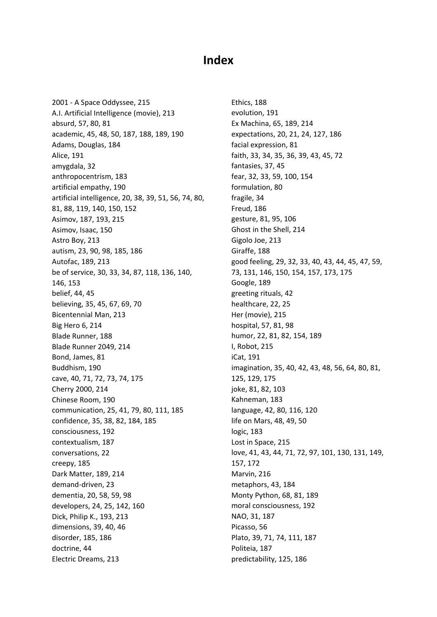## **Index**

2001 - A Space Oddyssee, 215 A.I. Artificial Intelligence (movie), 213 absurd, 57, 80, 81 academic, 45, 48, 50, 187, 188, 189, 190 Adams, Douglas, 184 Alice, 191 amygdala, 32 anthropocentrism, 183 artificial empathy, 190 artificial intelligence, 20, 38, 39, 51, 56, 74, 80, 81, 88, 119, 140, 150, 152 Asimov, 187, 193, 215 Asimov, Isaac, 150 Astro Boy, 213 autism, 23, 90, 98, 185, 186 Autofac, 189, 213 be of service, 30, 33, 34, 87, 118, 136, 140, 146, 153 belief, 44, 45 believing, 35, 45, 67, 69, 70 Bicentennial Man, 213 Big Hero 6, 214 Blade Runner, 188 Blade Runner 2049, 214 Bond, James, 81 Buddhism, 190 cave, 40, 71, 72, 73, 74, 175 Cherry 2000, 214 Chinese Room, 190 communication, 25, 41, 79, 80, 111, 185 confidence, 35, 38, 82, 184, 185 consciousness, 192 contextualism, 187 conversations, 22 creepy, 185 Dark Matter, 189, 214 demand-driven, 23 dementia, 20, 58, 59, 98 developers, 24, 25, 142, 160 Dick, Philip K., 193, 213 dimensions, 39, 40, 46 disorder, 185, 186 doctrine, 44 Electric Dreams, 213

Ethics, 188 evolution, 191 Ex Machina, 65, 189, 214 expectations, 20, 21, 24, 127, 186 facial expression, 81 faith, 33, 34, 35, 36, 39, 43, 45, 72 fantasies, 37, 45 fear, 32, 33, 59, 100, 154 formulation, 80 fragile, 34 Freud, 186 gesture, 81, 95, 106 Ghost in the Shell, 214 Gigolo Joe, 213 Giraffe, 188 good feeling, 29, 32, 33, 40, 43, 44, 45, 47, 59, 73, 131, 146, 150, 154, 157, 173, 175 Google, 189 greeting rituals, 42 healthcare, 22, 25 Her (movie), 215 hospital, 57, 81, 98 humor, 22, 81, 82, 154, 189 I, Robot, 215 iCat, 191 imagination, 35, 40, 42, 43, 48, 56, 64, 80, 81, 125, 129, 175 joke, 81, 82, 103 Kahneman, 183 language, 42, 80, 116, 120 life on Mars, 48, 49, 50 logic, 183 Lost in Space, 215 love, 41, 43, 44, 71, 72, 97, 101, 130, 131, 149, 157, 172 Marvin, 216 metaphors, 43, 184 Monty Python, 68, 81, 189 moral consciousness, 192 NAO, 31, 187 Picasso, 56 Plato, 39, 71, 74, 111, 187 Politeia, 187 predictability, 125, 186